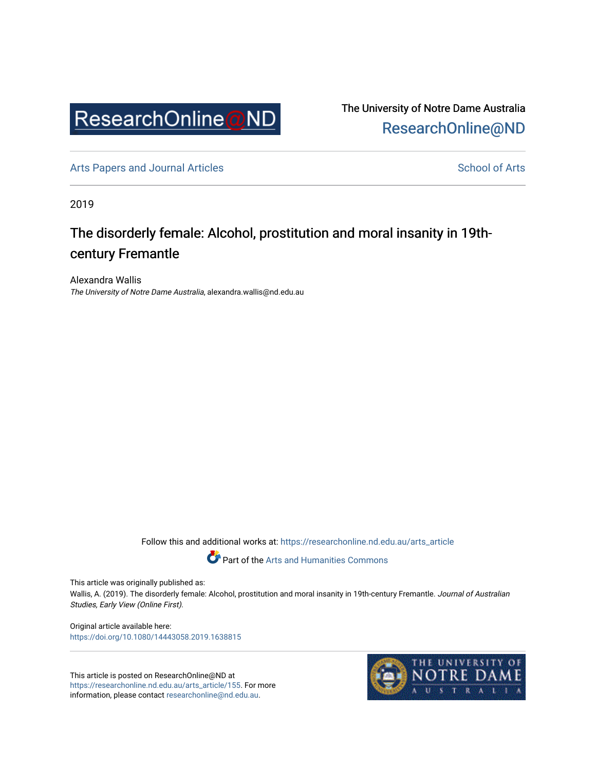

The University of Notre Dame Australia [ResearchOnline@ND](https://researchonline.nd.edu.au/) 

[Arts Papers and Journal Articles](https://researchonline.nd.edu.au/arts_article) and [School of Arts](https://researchonline.nd.edu.au/arts) School of Arts

2019

# The disorderly female: Alcohol, prostitution and moral insanity in 19thcentury Fremantle

Alexandra Wallis The University of Notre Dame Australia, alexandra.wallis@nd.edu.au

Follow this and additional works at: [https://researchonline.nd.edu.au/arts\\_article](https://researchonline.nd.edu.au/arts_article?utm_source=researchonline.nd.edu.au%2Farts_article%2F155&utm_medium=PDF&utm_campaign=PDFCoverPages) 

Part of the [Arts and Humanities Commons](http://network.bepress.com/hgg/discipline/438?utm_source=researchonline.nd.edu.au%2Farts_article%2F155&utm_medium=PDF&utm_campaign=PDFCoverPages) 

This article was originally published as:

Wallis, A. (2019). The disorderly female: Alcohol, prostitution and moral insanity in 19th-century Fremantle. Journal of Australian Studies, Early View (Online First).

Original article available here: <https://doi.org/10.1080/14443058.2019.1638815>

This article is posted on ResearchOnline@ND at [https://researchonline.nd.edu.au/arts\\_article/155](https://researchonline.nd.edu.au/arts_article/155). For more information, please contact [researchonline@nd.edu.au.](mailto:researchonline@nd.edu.au)

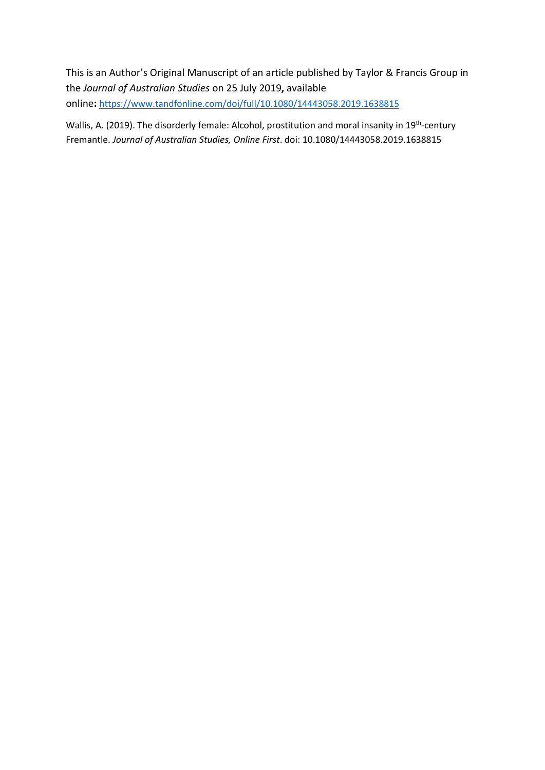This is an Author's Original Manuscript of an article published by Taylor & Francis Group in the *Journal of Australian Studies* on 25 July 2019**,** available online**:** <https://www.tandfonline.com/doi/full/10.1080/14443058.2019.1638815>

Wallis, A. (2019). The disorderly female: Alcohol, prostitution and moral insanity in 19<sup>th</sup>-century Fremantle. *Journal of Australian Studies, Online First*. doi: 10.1080/14443058.2019.1638815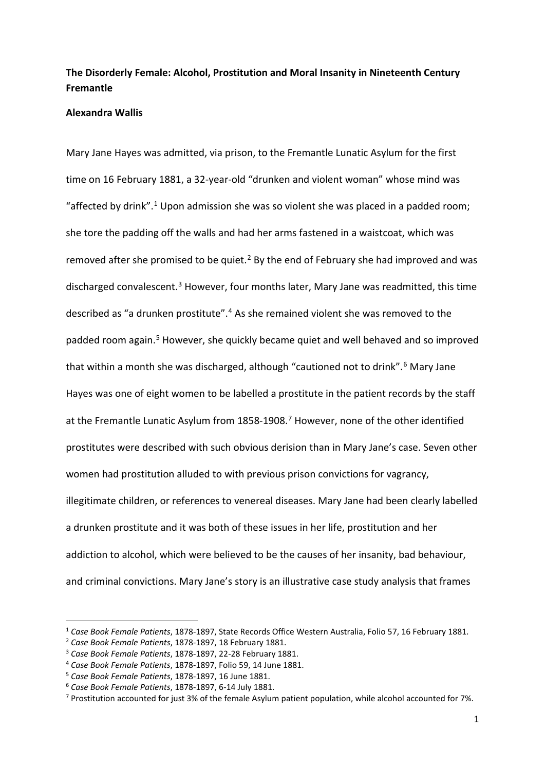# **The Disorderly Female: Alcohol, Prostitution and Moral Insanity in Nineteenth Century Fremantle**

#### **Alexandra Wallis**

Mary Jane Hayes was admitted, via prison, to the Fremantle Lunatic Asylum for the first time on 16 February 1881, a 32-year-old "drunken and violent woman" whose mind was "affected by drink".<sup>[1](#page-2-0)</sup> Upon admission she was so violent she was placed in a padded room; she tore the padding off the walls and had her arms fastened in a waistcoat, which was removed after she promised to be quiet.<sup>[2](#page-2-1)</sup> By the end of February she had improved and was discharged convalescent.<sup>[3](#page-2-2)</sup> However, four months later, Mary Jane was readmitted, this time described as "a drunken prostitute". [4](#page-2-3) As she remained violent she was removed to the padded room again.<sup>[5](#page-2-4)</sup> However, she quickly became quiet and well behaved and so improved that within a month she was discharged, although "cautioned not to drink". [6](#page-2-5) Mary Jane Hayes was one of eight women to be labelled a prostitute in the patient records by the staff at the Fremantle Lunatic Asylum from 1858-1908. [7](#page-2-6) However, none of the other identified prostitutes were described with such obvious derision than in Mary Jane's case. Seven other women had prostitution alluded to with previous prison convictions for vagrancy, illegitimate children, or references to venereal diseases. Mary Jane had been clearly labelled a drunken prostitute and it was both of these issues in her life, prostitution and her addiction to alcohol, which were believed to be the causes of her insanity, bad behaviour, and criminal convictions. Mary Jane's story is an illustrative case study analysis that frames

<span id="page-2-0"></span><sup>1</sup> *Case Book Female Patients*, 1878-1897, State Records Office Western Australia, Folio 57, 16 February 1881.

<span id="page-2-2"></span>

<span id="page-2-1"></span><sup>2</sup> *Case Book Female Patients*, 1878-1897, 18 February 1881. 3 *Case Book Female Patients*, 1878-1897, 22-28 February 1881. 4 *Case Book Female Patients*, 1878-1897, Folio 59, 14 June 1881.

<span id="page-2-6"></span><span id="page-2-5"></span>

<span id="page-2-4"></span><span id="page-2-3"></span><sup>&</sup>lt;sup>5</sup> Case Book Female Patients, 1878-1897, 16 June 1881.<br><sup>6</sup> Case Book Female Patients, 1878-1897, 6-14 July 1881.<br><sup>7</sup> Prostitution accounted for just 3% of the female Asylum patient population, while alcohol accounted for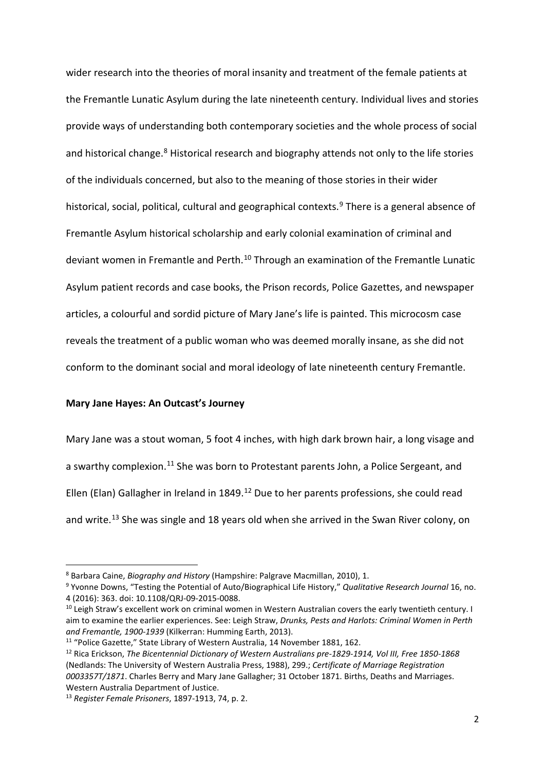wider research into the theories of moral insanity and treatment of the female patients at the Fremantle Lunatic Asylum during the late nineteenth century. Individual lives and stories provide ways of understanding both contemporary societies and the whole process of social and historical change.<sup>[8](#page-3-0)</sup> Historical research and biography attends not only to the life stories of the individuals concerned, but also to the meaning of those stories in their wider historical, social, political, cultural and geographical contexts.<sup>[9](#page-3-1)</sup> There is a general absence of Fremantle Asylum historical scholarship and early colonial examination of criminal and deviant women in Fremantle and Perth.<sup>[10](#page-3-2)</sup> Through an examination of the Fremantle Lunatic Asylum patient records and case books, the Prison records, Police Gazettes, and newspaper articles, a colourful and sordid picture of Mary Jane's life is painted. This microcosm case reveals the treatment of a public woman who was deemed morally insane, as she did not conform to the dominant social and moral ideology of late nineteenth century Fremantle.

#### **Mary Jane Hayes: An Outcast's Journey**

Mary Jane was a stout woman, 5 foot 4 inches, with high dark brown hair, a long visage and a swarthy complexion.<sup>[11](#page-3-3)</sup> She was born to Protestant parents John, a Police Sergeant, and Ellen (Elan) Gallagher in Ireland in 1849. [12](#page-3-4) Due to her parents professions, she could read and write.<sup>[13](#page-3-5)</sup> She was single and 18 years old when she arrived in the Swan River colony, on

<span id="page-3-1"></span><span id="page-3-0"></span><sup>8</sup> Barbara Caine, *Biography and History* (Hampshire: Palgrave Macmillan, 2010), 1. 9 Yvonne Downs, "Testing the Potential of Auto/Biographical Life History," *Qualitative Research Journal* 16, no. 4 (2016): 363. doi: 10.1108/QRJ-09-2015-0088.

<span id="page-3-2"></span><sup>&</sup>lt;sup>10</sup> Leigh Straw's excellent work on criminal women in Western Australian covers the early twentieth century. I aim to examine the earlier experiences. See: Leigh Straw, *Drunks, Pests and Harlots: Criminal Women in Perth and Fremantle, 1900-1939* (Kilkerran: Humming Earth, 2013).

<span id="page-3-4"></span><span id="page-3-3"></span><sup>&</sup>lt;sup>11</sup> "Police Gazette," State Library of Western Australia, 14 November 1881, 162.<br><sup>12</sup> Rica Erickson, *The Bicentennial Dictionary of Western Australians pre-1829-1914, Vol III, Free 1850-1868* (Nedlands: The University of Western Australia Press, 1988), 299.; *Certificate of Marriage Registration 0003357T/1871*. Charles Berry and Mary Jane Gallagher; 31 October 1871. Births, Deaths and Marriages. Western Australia Department of Justice.

<span id="page-3-5"></span><sup>13</sup> *Register Female Prisoners*, 1897-1913, 74, p. 2.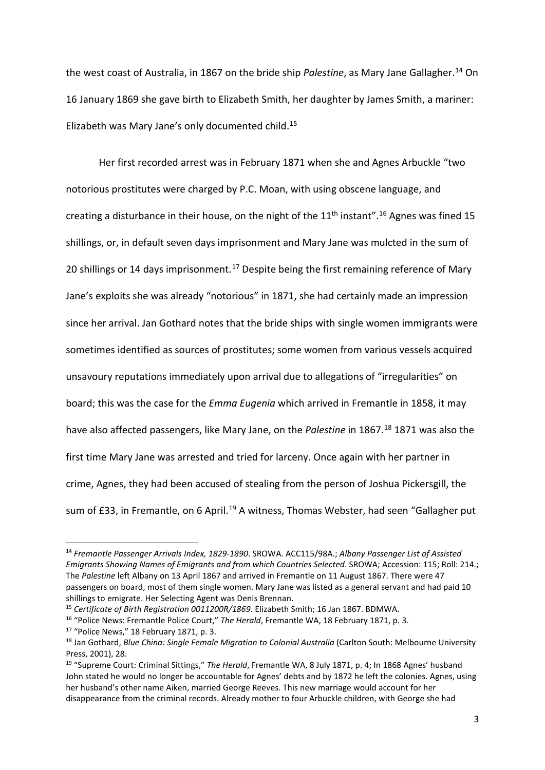the west coast of Australia, in 1867 on the bride ship *Palestine*, as Mary Jane Gallagher. [14](#page-4-0) On 16 January 1869 she gave birth to Elizabeth Smith, her daughter by James Smith, a mariner: Elizabeth was Mary Jane's only documented child.[15](#page-4-1)

Her first recorded arrest was in February 1871 when she and Agnes Arbuckle "two notorious prostitutes were charged by P.C. Moan, with using obscene language, and creating a disturbance in their house, on the night of the  $11<sup>th</sup>$  instant".<sup>[16](#page-4-2)</sup> Agnes was fined 15 shillings, or, in default seven days imprisonment and Mary Jane was mulcted in the sum of 20 shillings or 14 days imprisonment.<sup>[17](#page-4-3)</sup> Despite being the first remaining reference of Mary Jane's exploits she was already "notorious" in 1871, she had certainly made an impression since her arrival. Jan Gothard notes that the bride ships with single women immigrants were sometimes identified as sources of prostitutes; some women from various vessels acquired unsavoury reputations immediately upon arrival due to allegations of "irregularities" on board; this was the case for the *Emma Eugenia* which arrived in Fremantle in 1858, it may have also affected passengers, like Mary Jane, on the *Palestine* in 1867.[18](#page-4-4) 1871 was also the first time Mary Jane was arrested and tried for larceny. Once again with her partner in crime, Agnes, they had been accused of stealing from the person of Joshua Pickersgill, the sum of £33, in Fremantle, on 6 April.<sup>[19](#page-4-5)</sup> A witness, Thomas Webster, had seen "Gallagher put

<span id="page-4-0"></span><sup>14</sup> *Fremantle Passenger Arrivals Index, 1829-1890*. SROWA. ACC115/98A.; *Albany Passenger List of Assisted Emigrants Showing Names of Emigrants and from which Countries Selected*. SROWA; Accession: 115; Roll: 214.; The *Palestine* left Albany on 13 April 1867 and arrived in Fremantle on 11 August 1867. There were 47 passengers on board, most of them single women. Mary Jane was listed as a general servant and had paid 10 shillings to emigrate. Her Selecting Agent was Denis Brennan.

<span id="page-4-1"></span><sup>15</sup> *Certificate of Birth Registration 0011200R/1869*. Elizabeth Smith; 16 Jan 1867. BDMWA.

<span id="page-4-2"></span><sup>16</sup> "Police News: Fremantle Police Court," *The Herald*, Fremantle WA, 18 February 1871, p. 3.

<span id="page-4-4"></span><span id="page-4-3"></span><sup>&</sup>lt;sup>17</sup> "Police News," 18 February 1871, p. 3.<br><sup>18</sup> Jan Gothard, *Blue China: Single Female Migration to Colonial Australia* (Carlton South: Melbourne University Press, 2001), 28.

<span id="page-4-5"></span><sup>19</sup> "Supreme Court: Criminal Sittings," *The Herald*, Fremantle WA, 8 July 1871, p. 4; In 1868 Agnes' husband John stated he would no longer be accountable for Agnes' debts and by 1872 he left the colonies. Agnes, using her husband's other name Aiken, married George Reeves. This new marriage would account for her disappearance from the criminal records. Already mother to four Arbuckle children, with George she had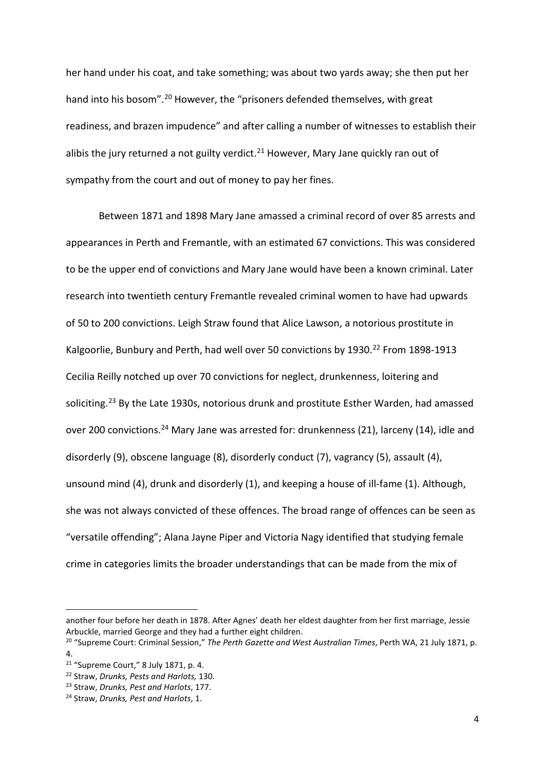her hand under his coat, and take something; was about two yards away; she then put her hand into his bosom".<sup>[20](#page-5-0)</sup> However, the "prisoners defended themselves, with great readiness, and brazen impudence" and after calling a number of witnesses to establish their alibis the jury returned a not guilty verdict. $^{21}$  $^{21}$  $^{21}$  However, Mary Jane quickly ran out of sympathy from the court and out of money to pay her fines.

Between 1871 and 1898 Mary Jane amassed a criminal record of over 85 arrests and appearances in Perth and Fremantle, with an estimated 67 convictions. This was considered to be the upper end of convictions and Mary Jane would have been a known criminal. Later research into twentieth century Fremantle revealed criminal women to have had upwards of 50 to 200 convictions. Leigh Straw found that Alice Lawson, a notorious prostitute in Kalgoorlie, Bunbury and Perth, had well over 50 convictions by 1930.<sup>[22](#page-5-2)</sup> From 1898-1913 Cecilia Reilly notched up over 70 convictions for neglect, drunkenness, loitering and soliciting.<sup>[23](#page-5-3)</sup> By the Late 1930s, notorious drunk and prostitute Esther Warden, had amassed over 200 convictions.<sup>[24](#page-5-4)</sup> Mary Jane was arrested for: drunkenness (21), larceny (14), idle and disorderly (9), obscene language (8), disorderly conduct (7), vagrancy (5), assault (4), unsound mind (4), drunk and disorderly (1), and keeping a house of ill-fame (1). Although, she was not always convicted of these offences. The broad range of offences can be seen as "versatile offending"; Alana Jayne Piper and Victoria Nagy identified that studying female crime in categories limits the broader understandings that can be made from the mix of

another four before her death in 1878. After Agnes' death her eldest daughter from her first marriage, Jessie Arbuckle, married George and they had a further eight children.

<span id="page-5-0"></span><sup>20</sup> "Supreme Court: Criminal Session," *The Perth Gazette and West Australian Times*, Perth WA, 21 July 1871, p. 4.<br><sup>21</sup> "Supreme Court," 8 July 1871, p. 4.

<span id="page-5-1"></span>

<span id="page-5-2"></span><sup>&</sup>lt;sup>22</sup> Straw, Drunks, Pests and Harlots, 130.

<span id="page-5-3"></span><sup>23</sup> Straw, *Drunks, Pest and Harlots*, 177.

<span id="page-5-4"></span><sup>24</sup> Straw, *Drunks, Pest and Harlots*, 1.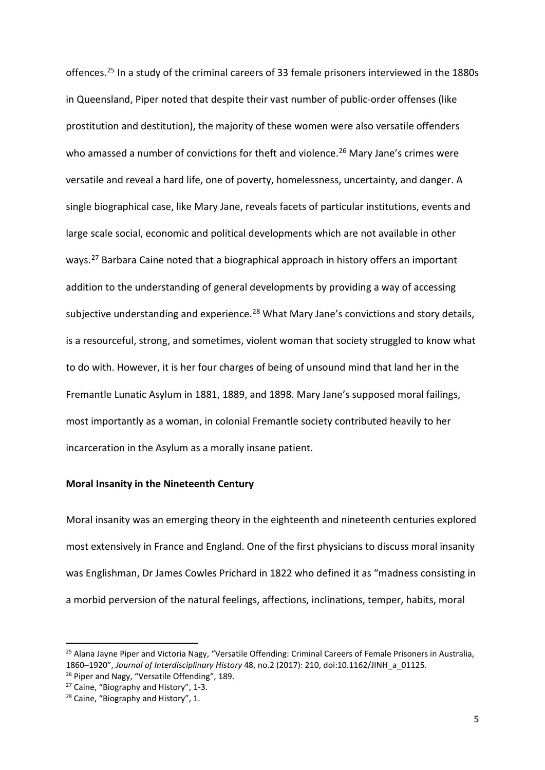offences.[25](#page-6-0) In a study of the criminal careers of 33 female prisoners interviewed in the 1880s in Queensland, Piper noted that despite their vast number of public-order offenses (like prostitution and destitution), the majority of these women were also versatile offenders who amassed a number of convictions for theft and violence.<sup>[26](#page-6-1)</sup> Mary Jane's crimes were versatile and reveal a hard life, one of poverty, homelessness, uncertainty, and danger. A single biographical case, like Mary Jane, reveals facets of particular institutions, events and large scale social, economic and political developments which are not available in other ways.<sup>[27](#page-6-2)</sup> Barbara Caine noted that a biographical approach in history offers an important addition to the understanding of general developments by providing a way of accessing subjective understanding and experience.<sup>[28](#page-6-3)</sup> What Mary Jane's convictions and story details, is a resourceful, strong, and sometimes, violent woman that society struggled to know what to do with. However, it is her four charges of being of unsound mind that land her in the Fremantle Lunatic Asylum in 1881, 1889, and 1898. Mary Jane's supposed moral failings, most importantly as a woman, in colonial Fremantle society contributed heavily to her incarceration in the Asylum as a morally insane patient.

# **Moral Insanity in the Nineteenth Century**

Moral insanity was an emerging theory in the eighteenth and nineteenth centuries explored most extensively in France and England. One of the first physicians to discuss moral insanity was Englishman, Dr James Cowles Prichard in 1822 who defined it as "madness consisting in a morbid perversion of the natural feelings, affections, inclinations, temper, habits, moral

<span id="page-6-0"></span><sup>&</sup>lt;sup>25</sup> Alana Jayne Piper and Victoria Nagy, "Versatile Offending: Criminal Careers of Female Prisoners in Australia, 1860–1920", *Journal of Interdisciplinary History* 48, no.2 (2017): 210, doi:10.1162/JINH\_a\_01125.

<span id="page-6-1"></span><sup>&</sup>lt;sup>26</sup> Piper and Nagy, "Versatile Offending", 189.

<span id="page-6-2"></span><sup>27</sup> Caine, "Biography and History", 1-3.

<span id="page-6-3"></span><sup>&</sup>lt;sup>28</sup> Caine, "Biography and History", 1.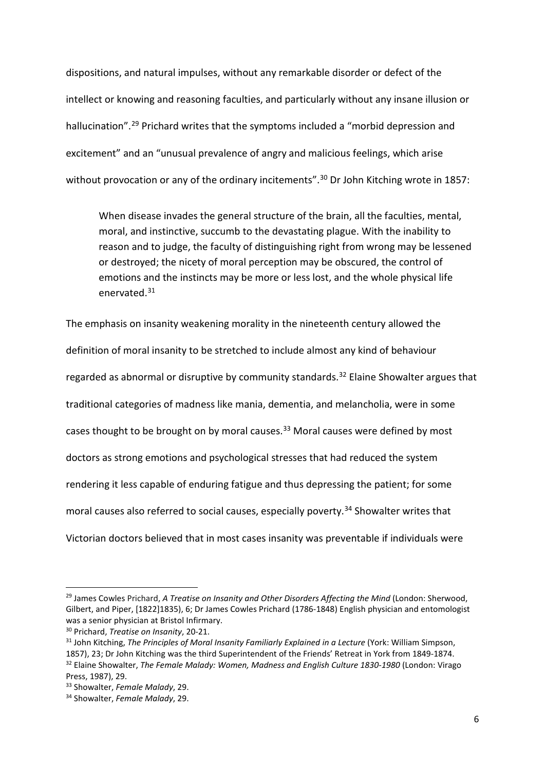dispositions, and natural impulses, without any remarkable disorder or defect of the intellect or knowing and reasoning faculties, and particularly without any insane illusion or hallucination".<sup>[29](#page-7-0)</sup> Prichard writes that the symptoms included a "morbid depression and excitement" and an "unusual prevalence of angry and malicious feelings, which arise without provocation or any of the ordinary incitements".<sup>[30](#page-7-1)</sup> Dr John Kitching wrote in 1857:

When disease invades the general structure of the brain, all the faculties, mental, moral, and instinctive, succumb to the devastating plague. With the inability to reason and to judge, the faculty of distinguishing right from wrong may be lessened or destroyed; the nicety of moral perception may be obscured, the control of emotions and the instincts may be more or less lost, and the whole physical life enervated[.31](#page-7-2)

The emphasis on insanity weakening morality in the nineteenth century allowed the definition of moral insanity to be stretched to include almost any kind of behaviour regarded as abnormal or disruptive by community standards.<sup>[32](#page-7-3)</sup> Elaine Showalter argues that traditional categories of madness like mania, dementia, and melancholia, were in some cases thought to be brought on by moral causes.<sup>33</sup> Moral causes were defined by most doctors as strong emotions and psychological stresses that had reduced the system rendering it less capable of enduring fatigue and thus depressing the patient; for some moral causes also referred to social causes, especially poverty.<sup>[34](#page-7-5)</sup> Showalter writes that Victorian doctors believed that in most cases insanity was preventable if individuals were

<span id="page-7-0"></span><sup>29</sup> James Cowles Prichard, *A Treatise on Insanity and Other Disorders Affecting the Mind* (London: Sherwood, Gilbert, and Piper, [1822]1835), 6; Dr James Cowles Prichard (1786-1848) English physician and entomologist was a senior physician at Bristol Infirmary.

<span id="page-7-1"></span><sup>30</sup> Prichard, *Treatise on Insanity*, 20-21.

<span id="page-7-3"></span><span id="page-7-2"></span><sup>&</sup>lt;sup>31</sup> John Kitching, *The Principles of Moral Insanity Familiarly Explained in a Lecture* (York: William Simpson, 1857), 23; Dr John Kitching was the third Superintendent of the Friends' Retreat in York from 1849-1874. <sup>32</sup> Elaine Showalter, *The Female Malady: Women, Madness and English Culture 1830-1980* (London: Virago Press, 1987), 29.

<span id="page-7-4"></span><sup>33</sup> Showalter, *Female Malady*, 29.

<span id="page-7-5"></span><sup>34</sup> Showalter, *Female Malady*, 29.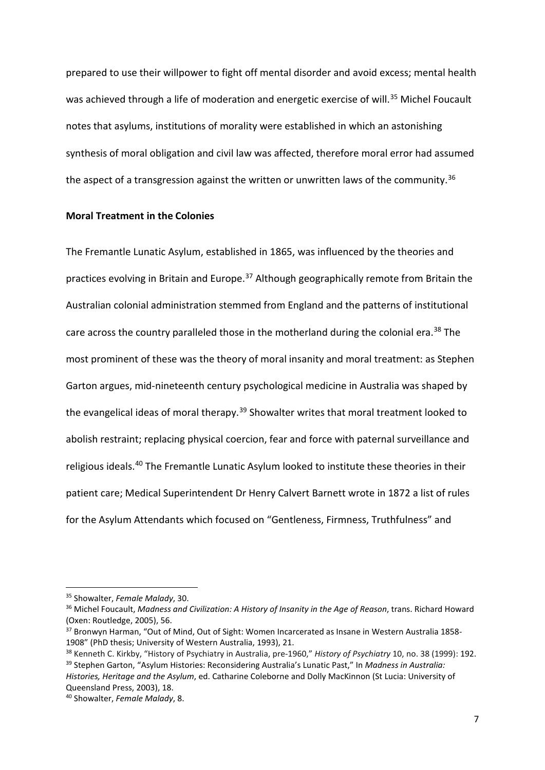prepared to use their willpower to fight off mental disorder and avoid excess; mental health was achieved through a life of moderation and energetic exercise of will.<sup>35</sup> Michel Foucault notes that asylums, institutions of morality were established in which an astonishing synthesis of moral obligation and civil law was affected, therefore moral error had assumed the aspect of a transgression against the written or unwritten laws of the community.<sup>[36](#page-8-1)</sup>

# **Moral Treatment in the Colonies**

The Fremantle Lunatic Asylum, established in 1865, was influenced by the theories and practices evolving in Britain and Europe.<sup>[37](#page-8-2)</sup> Although geographically remote from Britain the Australian colonial administration stemmed from England and the patterns of institutional care across the country paralleled those in the motherland during the colonial era.<sup>[38](#page-8-3)</sup> The most prominent of these was the theory of moral insanity and moral treatment: as Stephen Garton argues, mid-nineteenth century psychological medicine in Australia was shaped by the evangelical ideas of moral therapy.<sup>[39](#page-8-4)</sup> Showalter writes that moral treatment looked to abolish restraint; replacing physical coercion, fear and force with paternal surveillance and religious ideals.[40](#page-8-5) The Fremantle Lunatic Asylum looked to institute these theories in their patient care; Medical Superintendent Dr Henry Calvert Barnett wrote in 1872 a list of rules for the Asylum Attendants which focused on "Gentleness, Firmness, Truthfulness" and

<span id="page-8-0"></span><sup>35</sup> Showalter, *Female Malady*, 30.

<span id="page-8-1"></span><sup>36</sup> Michel Foucault, *Madness and Civilization: A History of Insanity in the Age of Reason*, trans. Richard Howard (Oxen: Routledge, 2005), 56.<br><sup>37</sup> Bronwyn Harman, "Out of Mind, Out of Sight: Women Incarcerated as Insane in Western Australia 1858-

<span id="page-8-2"></span><sup>1908&</sup>quot; (PhD thesis; University of Western Australia, 1993), 21.

<span id="page-8-4"></span><span id="page-8-3"></span><sup>&</sup>lt;sup>38</sup> Kenneth C. Kirkby, "History of Psychiatry in Australia, pre-1960," History of Psychiatry 10, no. 38 (1999): 192.<br><sup>39</sup> Stephen Garton, "Asylum Histories: Reconsidering Australia's Lunatic Past," In Madness in Australia

*Histories, Heritage and the Asylum*, ed. Catharine Coleborne and Dolly MacKinnon (St Lucia: University of Queensland Press, 2003), 18.

<span id="page-8-5"></span><sup>40</sup> Showalter, *Female Malady*, 8.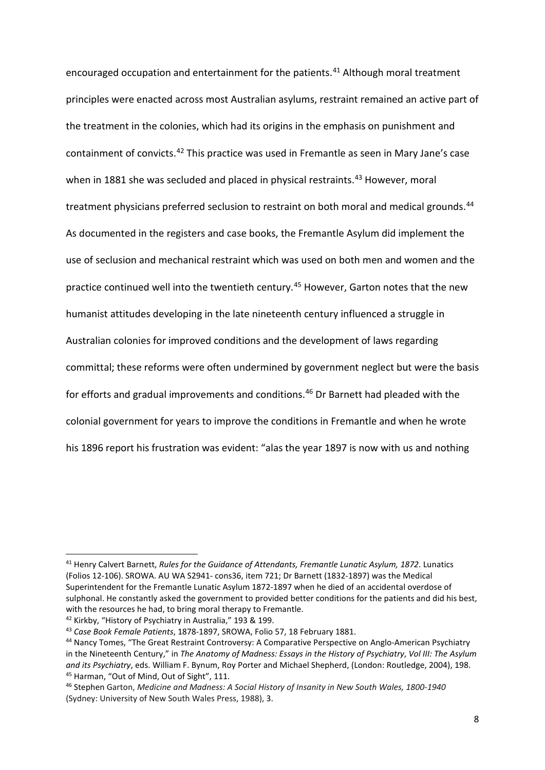encouraged occupation and entertainment for the patients.<sup>[41](#page-9-0)</sup> Although moral treatment principles were enacted across most Australian asylums, restraint remained an active part of the treatment in the colonies, which had its origins in the emphasis on punishment and containment of convicts.[42](#page-9-1) This practice was used in Fremantle as seen in Mary Jane's case when in 1881 she was secluded and placed in physical restraints.<sup>[43](#page-9-2)</sup> However, moral treatment physicians preferred seclusion to restraint on both moral and medical grounds.<sup>[44](#page-9-3)</sup> As documented in the registers and case books, the Fremantle Asylum did implement the use of seclusion and mechanical restraint which was used on both men and women and the practice continued well into the twentieth century. [45](#page-9-4) However, Garton notes that the new humanist attitudes developing in the late nineteenth century influenced a struggle in Australian colonies for improved conditions and the development of laws regarding committal; these reforms were often undermined by government neglect but were the basis for efforts and gradual improvements and conditions.[46](#page-9-5) Dr Barnett had pleaded with the colonial government for years to improve the conditions in Fremantle and when he wrote his 1896 report his frustration was evident: "alas the year 1897 is now with us and nothing

<span id="page-9-1"></span><sup>42</sup> Kirkby, "History of Psychiatry in Australia," 193 & 199.

 $\overline{\phantom{a}}$ 

<span id="page-9-0"></span><sup>41</sup> Henry Calvert Barnett, *Rules for the Guidance of Attendants, Fremantle Lunatic Asylum, 1872*. Lunatics (Folios 12-106). SROWA. AU WA S2941- cons36, item 721; Dr Barnett (1832-1897) was the Medical Superintendent for the Fremantle Lunatic Asylum 1872-1897 when he died of an accidental overdose of sulphonal. He constantly asked the government to provided better conditions for the patients and did his best, with the resources he had, to bring moral therapy to Fremantle.

<span id="page-9-2"></span><sup>43</sup> *Case Book Female Patients*, 1878-1897, SROWA, Folio 57, 18 February 1881.

<span id="page-9-3"></span><sup>44</sup> Nancy Tomes, "The Great Restraint Controversy: A Comparative Perspective on Anglo-American Psychiatry in the Nineteenth Century," in *The Anatomy of Madness: Essays in the History of Psychiatry*, *Vol III: The Asylum and its Psychiatry*, eds. William F. Bynum, Roy Porter and Michael Shepherd, (London: Routledge, 2004), 198. <sup>45</sup> Harman, "Out of Mind, Out of Sight", 111.

<span id="page-9-5"></span><span id="page-9-4"></span><sup>46</sup> Stephen Garton, *Medicine and Madness: A Social History of Insanity in New South Wales, 1800-1940* (Sydney: University of New South Wales Press, 1988), 3.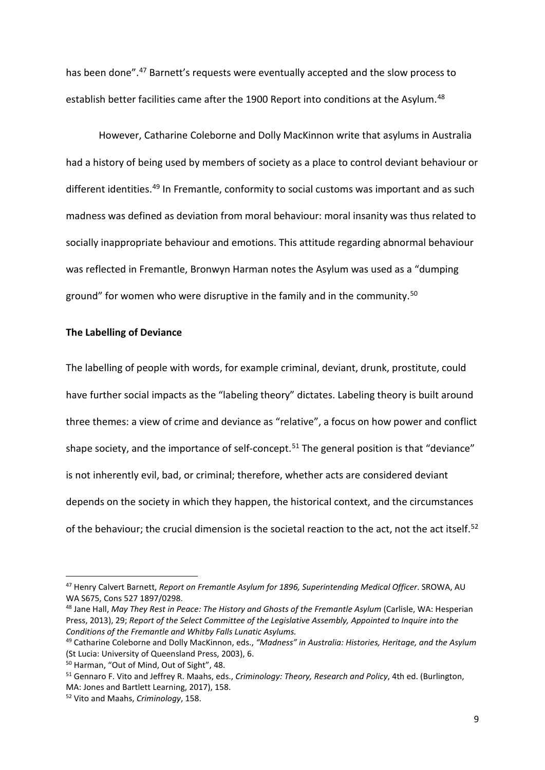has been done". [47](#page-10-0) Barnett's requests were eventually accepted and the slow process to establish better facilities came after the 1900 Report into conditions at the Asylum.<sup>[48](#page-10-1)</sup>

However, Catharine Coleborne and Dolly MacKinnon write that asylums in Australia had a history of being used by members of society as a place to control deviant behaviour or different identities.<sup>[49](#page-10-2)</sup> In Fremantle, conformity to social customs was important and as such madness was defined as deviation from moral behaviour: moral insanity was thus related to socially inappropriate behaviour and emotions. This attitude regarding abnormal behaviour was reflected in Fremantle, Bronwyn Harman notes the Asylum was used as a "dumping ground" for women who were disruptive in the family and in the community.[50](#page-10-3)

#### **The Labelling of Deviance**

The labelling of people with words, for example criminal, deviant, drunk, prostitute, could have further social impacts as the "labeling theory" dictates. Labeling theory is built around three themes: a view of crime and deviance as "relative", a focus on how power and conflict shape society, and the importance of self-concept.<sup>[51](#page-10-4)</sup> The general position is that "deviance" is not inherently evil, bad, or criminal; therefore, whether acts are considered deviant depends on the society in which they happen, the historical context, and the circumstances of the behaviour; the crucial dimension is the societal reaction to the act, not the act itself.<sup>[52](#page-10-5)</sup>

 $\overline{\phantom{a}}$ 

<span id="page-10-0"></span><sup>47</sup> Henry Calvert Barnett, *Report on Fremantle Asylum for 1896, Superintending Medical Officer*. SROWA, AU WA S675, Cons 527 1897/0298.

<span id="page-10-1"></span><sup>48</sup> Jane Hall, *May They Rest in Peace: The History and Ghosts of the Fremantle Asylum* (Carlisle, WA: Hesperian Press, 2013), 29; *Report of the Select Committee of the Legislative Assembly, Appointed to Inquire into the Conditions of the Fremantle and Whitby Falls Lunatic Asylums.*

<span id="page-10-2"></span><sup>49</sup> Catharine Coleborne and Dolly MacKinnon, eds., *"Madness" in Australia: Histories, Heritage, and the Asylum* (St Lucia: University of Queensland Press, 2003), 6.<br><sup>50</sup> Harman, "Out of Mind, Out of Sight", 48.

<span id="page-10-3"></span>

<span id="page-10-4"></span><sup>51</sup> Gennaro F. Vito and Jeffrey R. Maahs, eds., *Criminology: Theory, Research and Policy*, 4th ed. (Burlington, MA: Jones and Bartlett Learning, 2017), 158. 52 Vito and Maahs, *Criminology*, 158.

<span id="page-10-5"></span>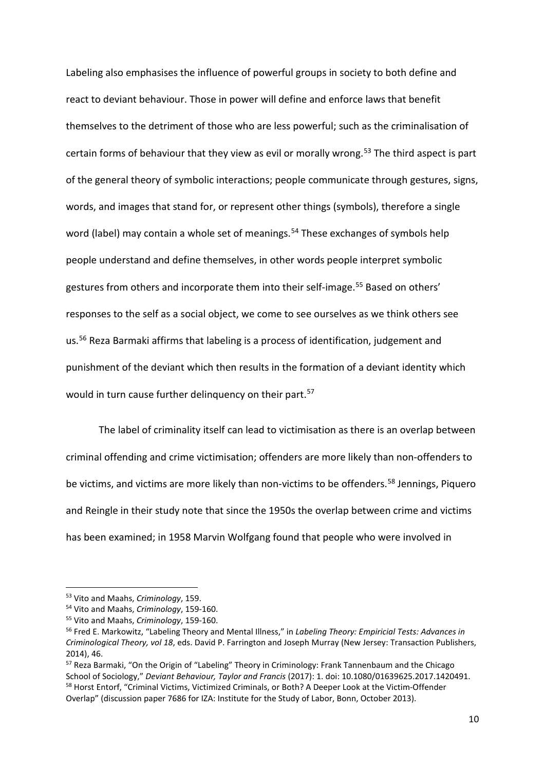Labeling also emphasises the influence of powerful groups in society to both define and react to deviant behaviour. Those in power will define and enforce laws that benefit themselves to the detriment of those who are less powerful; such as the criminalisation of certain forms of behaviour that they view as evil or morally wrong.<sup>[53](#page-11-0)</sup> The third aspect is part of the general theory of symbolic interactions; people communicate through gestures, signs, words, and images that stand for, or represent other things (symbols), therefore a single word (label) may contain a whole set of meanings.<sup>[54](#page-11-1)</sup> These exchanges of symbols help people understand and define themselves, in other words people interpret symbolic gestures from others and incorporate them into their self-image.<sup>[55](#page-11-2)</sup> Based on others' responses to the self as a social object, we come to see ourselves as we think others see us.[56](#page-11-3) Reza Barmaki affirms that labeling is a process of identification, judgement and punishment of the deviant which then results in the formation of a deviant identity which would in turn cause further delinquency on their part.<sup>57</sup>

The label of criminality itself can lead to victimisation as there is an overlap between criminal offending and crime victimisation; offenders are more likely than non-offenders to be victims, and victims are more likely than non-victims to be offenders.<sup>[58](#page-11-5)</sup> Jennings, Piquero and Reingle in their study note that since the 1950s the overlap between crime and victims has been examined; in 1958 Marvin Wolfgang found that people who were involved in

<span id="page-11-0"></span><sup>53</sup> Vito and Maahs, *Criminology*, 159. 54 Vito and Maahs, *Criminology*, 159-160.

<span id="page-11-2"></span><span id="page-11-1"></span><sup>55</sup> Vito and Maahs, *Criminology*, 159-160.

<span id="page-11-3"></span><sup>56</sup> Fred E. Markowitz, "Labeling Theory and Mental Illness," in *Labeling Theory: Empiricial Tests: Advances in Criminological Theory, vol 18*, eds. David P. Farrington and Joseph Murray (New Jersey: Transaction Publishers, 2014), 46.<br><sup>57</sup> Reza Barmaki, "On the Origin of "Labeling" Theory in Criminology: Frank Tannenbaum and the Chicago

<span id="page-11-5"></span><span id="page-11-4"></span>School of Sociology," *Deviant Behaviour, Taylor and Francis* (2017): 1. doi: 10.1080/01639625.2017.1420491. <sup>58</sup> Horst Entorf, "Criminal Victims, Victimized Criminals, or Both? A Deeper Look at the Victim-Offender Overlap" (discussion paper 7686 for IZA: Institute for the Study of Labor, Bonn, October 2013).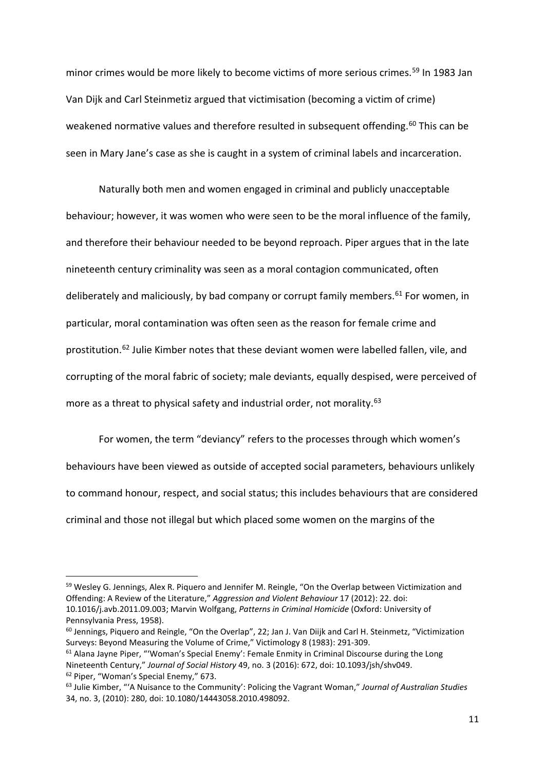minor crimes would be more likely to become victims of more serious crimes. [59](#page-12-0) In 1983 Jan Van Dijk and Carl Steinmetiz argued that victimisation (becoming a victim of crime) weakened normative values and therefore resulted in subsequent offending.<sup>[60](#page-12-1)</sup> This can be seen in Mary Jane's case as she is caught in a system of criminal labels and incarceration.

Naturally both men and women engaged in criminal and publicly unacceptable behaviour; however, it was women who were seen to be the moral influence of the family, and therefore their behaviour needed to be beyond reproach. Piper argues that in the late nineteenth century criminality was seen as a moral contagion communicated, often deliberately and maliciously, by bad company or corrupt family members.<sup>[61](#page-12-2)</sup> For women, in particular, moral contamination was often seen as the reason for female crime and prostitution.[62](#page-12-3) Julie Kimber notes that these deviant women were labelled fallen, vile, and corrupting of the moral fabric of society; male deviants, equally despised, were perceived of more as a threat to physical safety and industrial order, not morality.<sup>63</sup>

For women, the term "deviancy" refers to the processes through which women's behaviours have been viewed as outside of accepted social parameters, behaviours unlikely to command honour, respect, and social status; this includes behaviours that are considered criminal and those not illegal but which placed some women on the margins of the

 $\overline{\phantom{a}}$ 

<span id="page-12-0"></span><sup>&</sup>lt;sup>59</sup> Wesley G. Jennings, Alex R. Piquero and Jennifer M. Reingle, "On the Overlap between Victimization and Offending: A Review of the Literature," *Aggression and Violent Behaviour* 17 (2012): 22. doi: 10.1016/j.avb.2011.09.003; Marvin Wolfgang, *Patterns in Criminal Homicide* (Oxford: University of Pennsylvania Press, 1958).

<span id="page-12-1"></span><sup>60</sup> Jennings, Piquero and Reingle, "On the Overlap", 22; Jan J. Van Diijk and Carl H. Steinmetz, "Victimization Surveys: Beyond Measuring the Volume of Crime," Victimology 8 (1983): 291-309.

<span id="page-12-2"></span><sup>&</sup>lt;sup>61</sup> Alana Jayne Piper, "'Woman's Special Enemy': Female Enmity in Criminal Discourse during the Long Nineteenth Century," *Journal of Social History* 49, no. 3 (2016): 672, doi: 10.1093/jsh/shv049. <sup>62</sup> Piper, "Woman's Special Enemy," 673.<br><sup>63</sup> Julie Kimber, "'A Nuisance to the Community': Policing the Vagrant Woman," *Journal of Australian Studies* 

<span id="page-12-4"></span><span id="page-12-3"></span><sup>34,</sup> no. 3, (2010): 280, doi: 10.1080/14443058.2010.498092.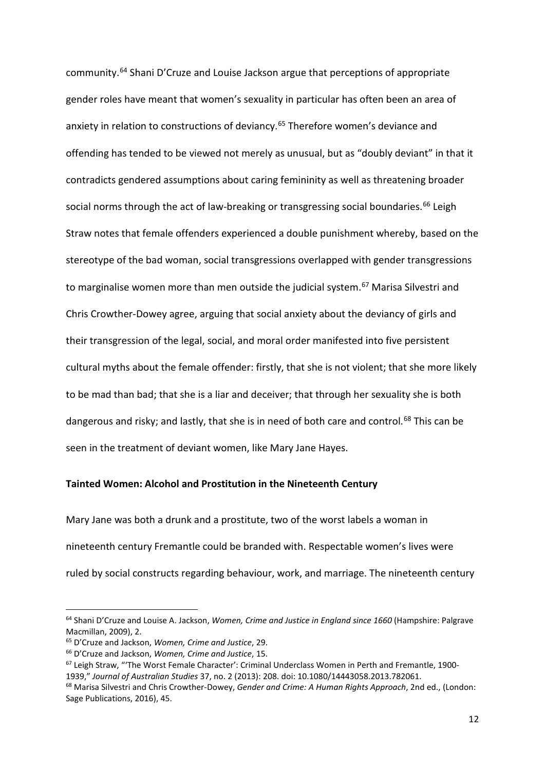community.[64](#page-13-0) Shani D'Cruze and Louise Jackson argue that perceptions of appropriate gender roles have meant that women's sexuality in particular has often been an area of anxiety in relation to constructions of deviancy.<sup>[65](#page-13-1)</sup> Therefore women's deviance and offending has tended to be viewed not merely as unusual, but as "doubly deviant" in that it contradicts gendered assumptions about caring femininity as well as threatening broader social norms through the act of law-breaking or transgressing social boundaries.<sup>[66](#page-13-2)</sup> Leigh Straw notes that female offenders experienced a double punishment whereby, based on the stereotype of the bad woman, social transgressions overlapped with gender transgressions to marginalise women more than men outside the judicial system.<sup>[67](#page-13-3)</sup> Marisa Silvestri and Chris Crowther-Dowey agree, arguing that social anxiety about the deviancy of girls and their transgression of the legal, social, and moral order manifested into five persistent cultural myths about the female offender: firstly, that she is not violent; that she more likely to be mad than bad; that she is a liar and deceiver; that through her sexuality she is both dangerous and risky; and lastly, that she is in need of both care and control.<sup>[68](#page-13-4)</sup> This can be seen in the treatment of deviant women, like Mary Jane Hayes.

# **Tainted Women: Alcohol and Prostitution in the Nineteenth Century**

Mary Jane was both a drunk and a prostitute, two of the worst labels a woman in nineteenth century Fremantle could be branded with. Respectable women's lives were ruled by social constructs regarding behaviour, work, and marriage. The nineteenth century

<span id="page-13-0"></span><sup>64</sup> Shani D'Cruze and Louise A. Jackson, *Women, Crime and Justice in England since 1660* (Hampshire: Palgrave Macmillan, 2009), 2.

<span id="page-13-1"></span><sup>65</sup> D'Cruze and Jackson, *Women, Crime and Justice*, 29.

<span id="page-13-2"></span><sup>66</sup> D'Cruze and Jackson, *Women, Crime and Justice*, 15.

<span id="page-13-3"></span><sup>67</sup> Leigh Straw, "'The Worst Female Character': Criminal Underclass Women in Perth and Fremantle, 1900- 1939," *Journal of Australian Studies* 37, no. 2 (2013): 208. doi: 10.1080/14443058.2013.782061.

<span id="page-13-4"></span><sup>68</sup> Marisa Silvestri and Chris Crowther-Dowey, *Gender and Crime: A Human Rights Approach*, 2nd ed., (London: Sage Publications, 2016), 45.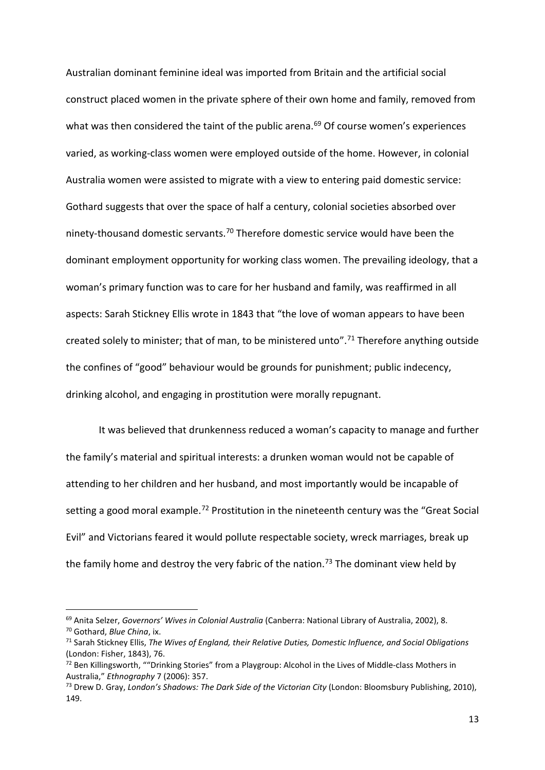Australian dominant feminine ideal was imported from Britain and the artificial social construct placed women in the private sphere of their own home and family, removed from what was then considered the taint of the public arena.<sup>[69](#page-14-0)</sup> Of course women's experiences varied, as working-class women were employed outside of the home. However, in colonial Australia women were assisted to migrate with a view to entering paid domestic service: Gothard suggests that over the space of half a century, colonial societies absorbed over ninety-thousand domestic servants.<sup>[70](#page-14-1)</sup> Therefore domestic service would have been the dominant employment opportunity for working class women. The prevailing ideology, that a woman's primary function was to care for her husband and family, was reaffirmed in all aspects: Sarah Stickney Ellis wrote in 1843 that "the love of woman appears to have been created solely to minister; that of man, to be ministered unto".<sup>[71](#page-14-2)</sup> Therefore anything outside the confines of "good" behaviour would be grounds for punishment; public indecency, drinking alcohol, and engaging in prostitution were morally repugnant.

It was believed that drunkenness reduced a woman's capacity to manage and further the family's material and spiritual interests: a drunken woman would not be capable of attending to her children and her husband, and most importantly would be incapable of setting a good moral example.<sup>[72](#page-14-3)</sup> Prostitution in the nineteenth century was the "Great Social Evil" and Victorians feared it would pollute respectable society, wreck marriages, break up the family home and destroy the very fabric of the nation.<sup>[73](#page-14-4)</sup> The dominant view held by

<span id="page-14-0"></span><sup>69</sup> Anita Selzer, *Governors' Wives in Colonial Australia* (Canberra: National Library of Australia, 2002), 8. 70 Gothard, *Blue China*, ix.

<span id="page-14-1"></span>

<span id="page-14-2"></span><sup>71</sup> Sarah Stickney Ellis, *The Wives of England, their Relative Duties, Domestic Influence, and Social Obligations* (London: Fisher, 1843), 76.<br><sup>72</sup> Ben Killingsworth, ""Drinking Stories" from a Playgroup: Alcohol in the Lives of Middle-class Mothers in

<span id="page-14-3"></span>Australia," *Ethnography* 7 (2006): 357. 73 Drew D. Gray, *London's Shadows: The Dark Side of the Victorian City* (London: Bloomsbury Publishing, 2010),

<span id="page-14-4"></span><sup>149.</sup>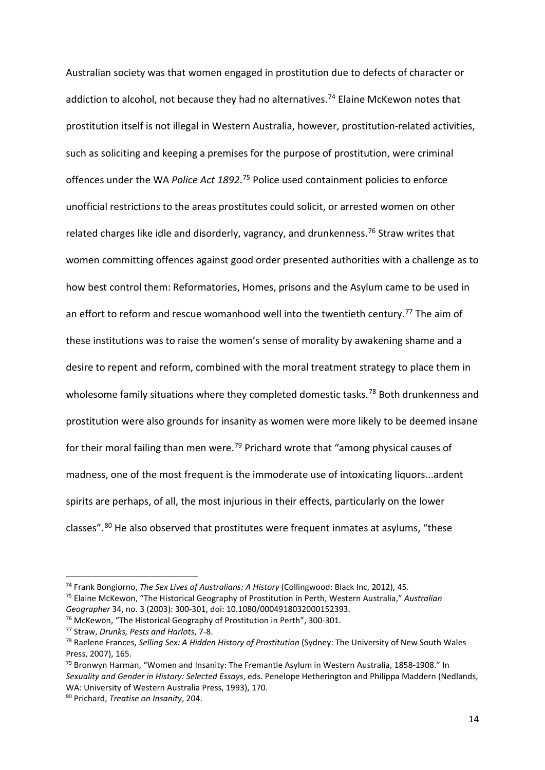Australian society was that women engaged in prostitution due to defects of character or addiction to alcohol, not because they had no alternatives.<sup>74</sup> Elaine McKewon notes that prostitution itself is not illegal in Western Australia, however, prostitution-related activities, such as soliciting and keeping a premises for the purpose of prostitution, were criminal offences under the WA Police Act 1892.<sup>[75](#page-15-1)</sup> Police used containment policies to enforce unofficial restrictions to the areas prostitutes could solicit, or arrested women on other related charges like idle and disorderly, vagrancy, and drunkenness.<sup>[76](#page-15-2)</sup> Straw writes that women committing offences against good order presented authorities with a challenge as to how best control them: Reformatories, Homes, prisons and the Asylum came to be used in an effort to reform and rescue womanhood well into the twentieth century.<sup>[77](#page-15-3)</sup> The aim of these institutions was to raise the women's sense of morality by awakening shame and a desire to repent and reform, combined with the moral treatment strategy to place them in wholesome family situations where they completed domestic tasks.<sup>[78](#page-15-4)</sup> Both drunkenness and prostitution were also grounds for insanity as women were more likely to be deemed insane for their moral failing than men were.<sup>[79](#page-15-5)</sup> Prichard wrote that "among physical causes of madness, one of the most frequent is the immoderate use of intoxicating liquors...ardent spirits are perhaps, of all, the most injurious in their effects, particularly on the lower classes". [80](#page-15-6) He also observed that prostitutes were frequent inmates at asylums, "these

<span id="page-15-1"></span><sup>75</sup> Elaine McKewon, "The Historical Geography of Prostitution in Perth, Western Australia," *Australian Geographer* 34, no. 3 (2003): 300-301, doi: 10.1080/0004918032000152393. <sup>76</sup> McKewon, "The Historical Geography of Prostitution in Perth", 300-301.

 $\overline{\phantom{a}}$ 

<span id="page-15-0"></span><sup>74</sup> Frank Bongiorno, *The Sex Lives of Australians: A History* (Collingwood: Black Inc, 2012), 45.

<span id="page-15-3"></span><span id="page-15-2"></span><sup>77</sup> Straw, *Drunks, Pests and Harlots*, 7-8.

<span id="page-15-4"></span><sup>78</sup> Raelene Frances, *Selling Sex: A Hidden History of Prostitution* (Sydney: The University of New South Wales Press, 2007), 165.

<span id="page-15-5"></span><sup>79</sup> Bronwyn Harman, "Women and Insanity: The Fremantle Asylum in Western Australia, 1858-1908." In *Sexuality and Gender in History: Selected Essays*, eds. Penelope Hetherington and Philippa Maddern (Nedlands, WA: University of Western Australia Press, 1993), 170.

<span id="page-15-6"></span><sup>80</sup> Prichard, *Treatise on Insanity*, 204.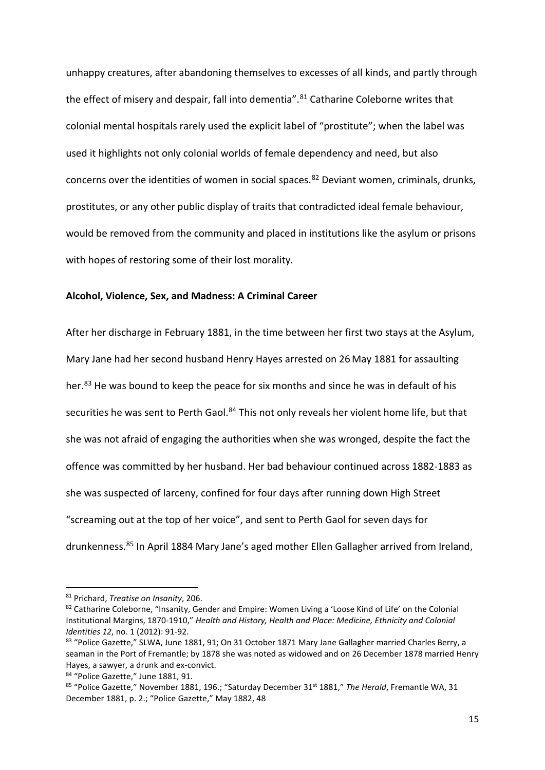unhappy creatures, after abandoning themselves to excesses of all kinds, and partly through the effect of misery and despair, fall into dementia".<sup>[81](#page-16-0)</sup> Catharine Coleborne writes that colonial mental hospitals rarely used the explicit label of "prostitute"; when the label was used it highlights not only colonial worlds of female dependency and need, but also concerns over the identities of women in social spaces.<sup>[82](#page-16-1)</sup> Deviant women, criminals, drunks, prostitutes, or any other public display of traits that contradicted ideal female behaviour, would be removed from the community and placed in institutions like the asylum or prisons with hopes of restoring some of their lost morality.

# **Alcohol, Violence, Sex, and Madness: A Criminal Career**

After her discharge in February 1881, in the time between her first two stays at the Asylum, Mary Jane had her second husband Henry Hayes arrested on 26 May 1881 for assaulting her.<sup>[83](#page-16-2)</sup> He was bound to keep the peace for six months and since he was in default of his securities he was sent to Perth Gaol.<sup>[84](#page-16-3)</sup> This not only reveals her violent home life, but that she was not afraid of engaging the authorities when she was wronged, despite the fact the offence was committed by her husband. Her bad behaviour continued across 1882-1883 as she was suspected of larceny, confined for four days after running down High Street "screaming out at the top of her voice", and sent to Perth Gaol for seven days for drunkenness.[85](#page-16-4) In April 1884 Mary Jane's aged mother Ellen Gallagher arrived from Ireland,

<span id="page-16-0"></span><sup>81</sup> Prichard, *Treatise on Insanity*, 206.

<span id="page-16-1"></span><sup>82</sup> Catharine Coleborne, "Insanity, Gender and Empire: Women Living a 'Loose Kind of Life' on the Colonial Institutional Margins, 1870-1910," *Health and History, Health and Place: Medicine, Ethnicity and Colonial* 

<span id="page-16-2"></span>*Identities 12*, no. 1 (2012): 91-92.<br><sup>83</sup> "Police Gazette," SLWA, June 1881, 91; On 31 October 1871 Mary Jane Gallagher married Charles Berry, a seaman in the Port of Fremantle; by 1878 she was noted as widowed and on 26 December 1878 married Henry Hayes, a sawyer, a drunk and ex-convict.

<span id="page-16-4"></span><span id="page-16-3"></span><sup>&</sup>lt;sup>84</sup> "Police Gazette," June 1881, 91.<br><sup>85</sup> "Police Gazette," November 1881, 196.; "Saturday December 31<sup>st</sup> 1881," *The Herald*, Fremantle WA, 31 December 1881, p. 2.; "Police Gazette," May 1882, 48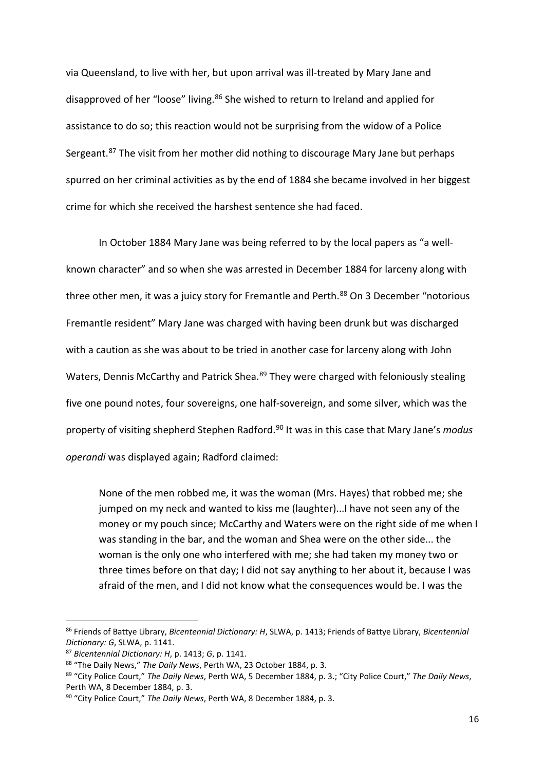via Queensland, to live with her, but upon arrival was ill-treated by Mary Jane and disapproved of her "loose" living.<sup>[86](#page-17-0)</sup> She wished to return to Ireland and applied for assistance to do so; this reaction would not be surprising from the widow of a Police Sergeant.<sup>[87](#page-17-1)</sup> The visit from her mother did nothing to discourage Mary Jane but perhaps spurred on her criminal activities as by the end of 1884 she became involved in her biggest crime for which she received the harshest sentence she had faced.

In October 1884 Mary Jane was being referred to by the local papers as "a wellknown character" and so when she was arrested in December 1884 for larceny along with three other men, it was a juicy story for Fremantle and Perth. [88](#page-17-2) On 3 December "notorious Fremantle resident" Mary Jane was charged with having been drunk but was discharged with a caution as she was about to be tried in another case for larceny along with John Waters, Dennis McCarthy and Patrick Shea.<sup>[89](#page-17-3)</sup> They were charged with feloniously stealing five one pound notes, four sovereigns, one half-sovereign, and some silver, which was the property of visiting shepherd Stephen Radford.[90](#page-17-4) It was in this case that Mary Jane's *modus operandi* was displayed again; Radford claimed:

None of the men robbed me, it was the woman (Mrs. Hayes) that robbed me; she jumped on my neck and wanted to kiss me (laughter)...I have not seen any of the money or my pouch since; McCarthy and Waters were on the right side of me when I was standing in the bar, and the woman and Shea were on the other side... the woman is the only one who interfered with me; she had taken my money two or three times before on that day; I did not say anything to her about it, because I was afraid of the men, and I did not know what the consequences would be. I was the

<span id="page-17-0"></span><sup>86</sup> Friends of Battye Library, *Bicentennial Dictionary: H*, SLWA, p. 1413; Friends of Battye Library, *Bicentennial Dictionary: G*, SLWA, p. 1141.

<span id="page-17-1"></span><sup>87</sup> *Bicentennial Dictionary: H*, p. 1413; *G*, p. 1141.

<span id="page-17-2"></span><sup>88</sup> "The Daily News," *The Daily News*, Perth WA, 23 October 1884, p. 3.

<span id="page-17-3"></span><sup>89</sup> "City Police Court," *The Daily News*, Perth WA, 5 December 1884, p. 3.; "City Police Court," *The Daily News*, Perth WA, 8 December 1884, p. 3.

<span id="page-17-4"></span><sup>90</sup> "City Police Court," *The Daily News*, Perth WA, 8 December 1884, p. 3.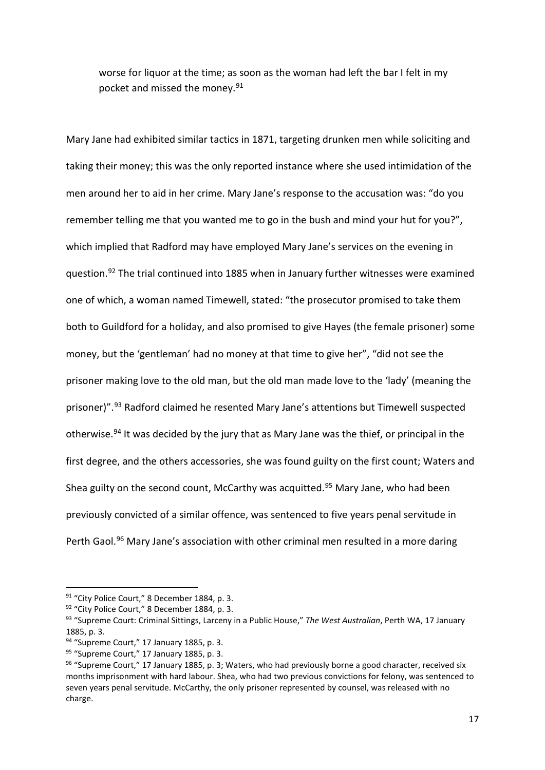worse for liquor at the time; as soon as the woman had left the bar I felt in my pocket and missed the money.<sup>[91](#page-18-0)</sup>

Mary Jane had exhibited similar tactics in 1871, targeting drunken men while soliciting and taking their money; this was the only reported instance where she used intimidation of the men around her to aid in her crime. Mary Jane's response to the accusation was: "do you remember telling me that you wanted me to go in the bush and mind your hut for you?", which implied that Radford may have employed Mary Jane's services on the evening in question.[92](#page-18-1) The trial continued into 1885 when in January further witnesses were examined one of which, a woman named Timewell, stated: "the prosecutor promised to take them both to Guildford for a holiday, and also promised to give Hayes (the female prisoner) some money, but the 'gentleman' had no money at that time to give her", "did not see the prisoner making love to the old man, but the old man made love to the 'lady' (meaning the prisoner)".<sup>[93](#page-18-2)</sup> Radford claimed he resented Mary Jane's attentions but Timewell suspected otherwise.<sup>[94](#page-18-3)</sup> It was decided by the jury that as Mary Jane was the thief, or principal in the first degree, and the others accessories, she was found guilty on the first count; Waters and Shea guilty on the second count, McCarthy was acquitted.<sup>[95](#page-18-4)</sup> Mary Jane, who had been previously convicted of a similar offence, was sentenced to five years penal servitude in Perth Gaol.<sup>[96](#page-18-5)</sup> Mary Jane's association with other criminal men resulted in a more daring

<span id="page-18-0"></span><sup>&</sup>lt;sup>91</sup> "City Police Court," 8 December 1884, p. 3.<br><sup>92</sup> "City Police Court," 8 December 1884, p. 3.

<span id="page-18-2"></span><span id="page-18-1"></span><sup>93</sup> "Supreme Court: Criminal Sittings, Larceny in a Public House," *The West Australian*, Perth WA, 17 January 1885, p. 3.

<span id="page-18-3"></span><sup>94 &</sup>quot;Supreme Court," 17 January 1885, p. 3.

<span id="page-18-4"></span><sup>95 &</sup>quot;Supreme Court," 17 January 1885, p. 3.

<span id="page-18-5"></span><sup>96 &</sup>quot;Supreme Court," 17 January 1885, p. 3; Waters, who had previously borne a good character, received six months imprisonment with hard labour. Shea, who had two previous convictions for felony, was sentenced to seven years penal servitude. McCarthy, the only prisoner represented by counsel, was released with no charge.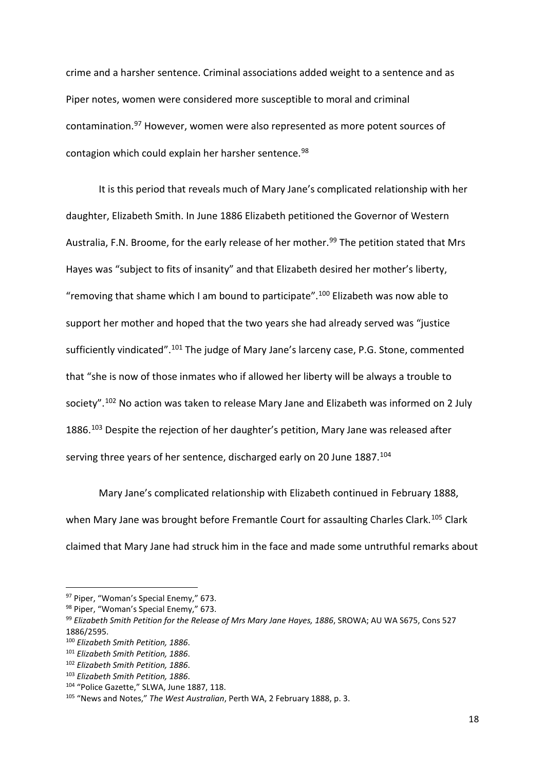crime and a harsher sentence. Criminal associations added weight to a sentence and as Piper notes, women were considered more susceptible to moral and criminal contamination.[97](#page-19-0) However, women were also represented as more potent sources of contagion which could explain her harsher sentence.<sup>[98](#page-19-1)</sup>

It is this period that reveals much of Mary Jane's complicated relationship with her daughter, Elizabeth Smith. In June 1886 Elizabeth petitioned the Governor of Western Australia, F.N. Broome, for the early release of her mother.<sup>[99](#page-19-2)</sup> The petition stated that Mrs Hayes was "subject to fits of insanity" and that Elizabeth desired her mother's liberty, "removing that shame which I am bound to participate".<sup>[100](#page-19-3)</sup> Elizabeth was now able to support her mother and hoped that the two years she had already served was "justice sufficiently vindicated".<sup>[101](#page-19-4)</sup> The judge of Mary Jane's larceny case, P.G. Stone, commented that "she is now of those inmates who if allowed her liberty will be always a trouble to society".<sup>[102](#page-19-5)</sup> No action was taken to release Mary Jane and Elizabeth was informed on 2 July 1886.<sup>[103](#page-19-6)</sup> Despite the rejection of her daughter's petition, Mary Jane was released after serving three years of her sentence, discharged early on 20 June 1887.<sup>[104](#page-19-7)</sup>

Mary Jane's complicated relationship with Elizabeth continued in February 1888, when Mary Jane was brought before Fremantle Court for assaulting Charles Clark.<sup>[105](#page-19-8)</sup> Clark claimed that Mary Jane had struck him in the face and made some untruthful remarks about

<span id="page-19-0"></span><sup>97</sup> Piper, "Woman's Special Enemy," 673.

<span id="page-19-1"></span><sup>98</sup> Piper, "Woman's Special Enemy," 673.

<span id="page-19-2"></span><sup>99</sup> *Elizabeth Smith Petition for the Release of Mrs Mary Jane Hayes, 1886*, SROWA; AU WA S675, Cons 527 1886/2595.

<span id="page-19-3"></span><sup>100</sup> *Elizabeth Smith Petition, 1886*.

<span id="page-19-4"></span><sup>101</sup> *Elizabeth Smith Petition, 1886*.

<span id="page-19-5"></span><sup>102</sup> *Elizabeth Smith Petition, 1886*.

<span id="page-19-6"></span><sup>103</sup> *Elizabeth Smith Petition, 1886*.

<span id="page-19-7"></span><sup>104 &</sup>quot;Police Gazette," SLWA, June 1887, 118.

<span id="page-19-8"></span><sup>105</sup> "News and Notes," *The West Australian*, Perth WA, 2 February 1888, p. 3.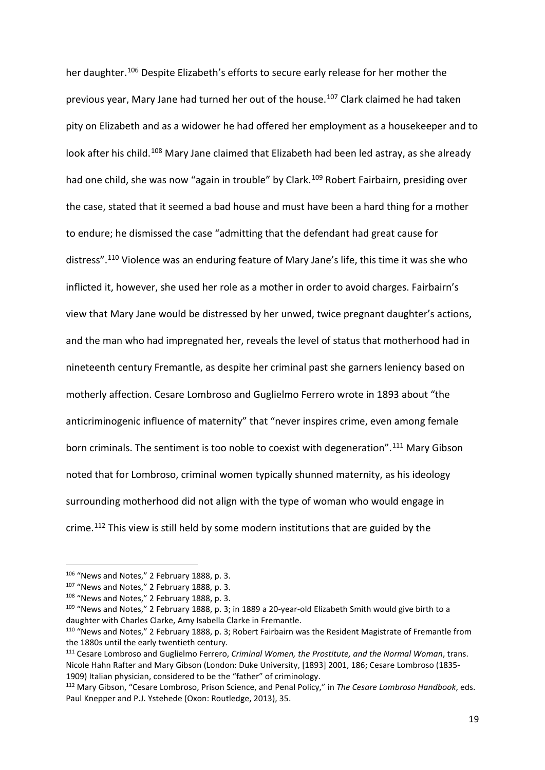her daughter.<sup>[106](#page-20-0)</sup> Despite Elizabeth's efforts to secure early release for her mother the previous year, Mary Jane had turned her out of the house. [107](#page-20-1) Clark claimed he had taken pity on Elizabeth and as a widower he had offered her employment as a housekeeper and to look after his child.<sup>[108](#page-20-2)</sup> Mary Jane claimed that Elizabeth had been led astray, as she already had one child, she was now "again in trouble" by Clark.<sup>[109](#page-20-3)</sup> Robert Fairbairn, presiding over the case, stated that it seemed a bad house and must have been a hard thing for a mother to endure; he dismissed the case "admitting that the defendant had great cause for distress".<sup>[110](#page-20-4)</sup> Violence was an enduring feature of Mary Jane's life, this time it was she who inflicted it, however, she used her role as a mother in order to avoid charges. Fairbairn's view that Mary Jane would be distressed by her unwed, twice pregnant daughter's actions, and the man who had impregnated her, reveals the level of status that motherhood had in nineteenth century Fremantle, as despite her criminal past she garners leniency based on motherly affection. Cesare Lombroso and Guglielmo Ferrero wrote in 1893 about "the anticriminogenic influence of maternity" that "never inspires crime, even among female born criminals. The sentiment is too noble to coexist with degeneration".<sup>[111](#page-20-5)</sup> Mary Gibson noted that for Lombroso, criminal women typically shunned maternity, as his ideology surrounding motherhood did not align with the type of woman who would engage in crime.[112](#page-20-6) This view is still held by some modern institutions that are guided by the

<span id="page-20-0"></span><sup>106 &</sup>quot;News and Notes," 2 February 1888, p. 3.

<span id="page-20-1"></span><sup>107 &</sup>quot;News and Notes," 2 February 1888, p. 3.

<span id="page-20-2"></span><sup>108 &</sup>quot;News and Notes," 2 February 1888, p. 3.

<span id="page-20-3"></span><sup>&</sup>lt;sup>109</sup> "News and Notes," 2 February 1888, p. 3; in 1889 a 20-year-old Elizabeth Smith would give birth to a daughter with Charles Clarke, Amy Isabella Clarke in Fremantle.

<span id="page-20-4"></span><sup>110</sup> "News and Notes," 2 February 1888, p. 3; Robert Fairbairn was the Resident Magistrate of Fremantle from the 1880s until the early twentieth century.

<span id="page-20-5"></span><sup>111</sup> Cesare Lombroso and Guglielmo Ferrero, *Criminal Women, the Prostitute, and the Normal Woman*, trans. Nicole Hahn Rafter and Mary Gibson (London: Duke University, [1893] 2001, 186; Cesare Lombroso (1835- 1909) Italian physician, considered to be the "father" of criminology.

<span id="page-20-6"></span><sup>112</sup> Mary Gibson, "Cesare Lombroso, Prison Science, and Penal Policy," in *The Cesare Lombroso Handbook*, eds. Paul Knepper and P.J. Ystehede (Oxon: Routledge, 2013), 35.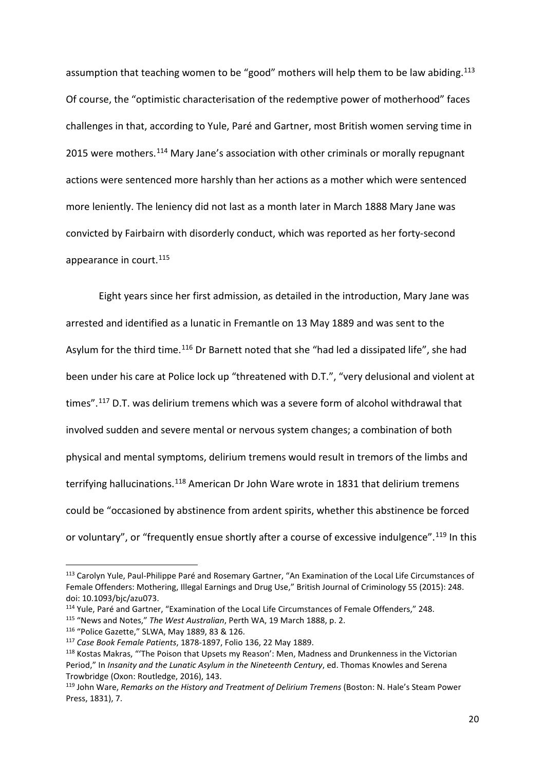assumption that teaching women to be "good" mothers will help them to be law abiding.<sup>[113](#page-21-0)</sup> Of course, the "optimistic characterisation of the redemptive power of motherhood" faces challenges in that, according to Yule, Paré and Gartner, most British women serving time in 2015 were mothers.<sup>[114](#page-21-1)</sup> Mary Jane's association with other criminals or morally repugnant actions were sentenced more harshly than her actions as a mother which were sentenced more leniently. The leniency did not last as a month later in March 1888 Mary Jane was convicted by Fairbairn with disorderly conduct, which was reported as her forty-second appearance in court. [115](#page-21-2)

Eight years since her first admission, as detailed in the introduction, Mary Jane was arrested and identified as a lunatic in Fremantle on 13 May 1889 and was sent to the Asylum for the third time.<sup>[116](#page-21-3)</sup> Dr Barnett noted that she "had led a dissipated life", she had been under his care at Police lock up "threatened with D.T.", "very delusional and violent at times".<sup>[117](#page-21-4)</sup> D.T. was delirium tremens which was a severe form of alcohol withdrawal that involved sudden and severe mental or nervous system changes; a combination of both physical and mental symptoms, delirium tremens would result in tremors of the limbs and terrifying hallucinations.<sup>[118](#page-21-5)</sup> American Dr John Ware wrote in 1831 that delirium tremens could be "occasioned by abstinence from ardent spirits, whether this abstinence be forced or voluntary", or "frequently ensue shortly after a course of excessive indulgence".<sup>[119](#page-21-6)</sup> In this

<span id="page-21-0"></span><sup>113</sup> Carolyn Yule, Paul-Philippe Paré and Rosemary Gartner, "An Examination of the Local Life Circumstances of Female Offenders: Mothering, Illegal Earnings and Drug Use," British Journal of Criminology 55 (2015): 248. doi: 10.1093/bjc/azu073.

<span id="page-21-1"></span><sup>114</sup> Yule, Paré and Gartner, "Examination of the Local Life Circumstances of Female Offenders," 248.

<span id="page-21-2"></span><sup>115</sup> "News and Notes," *The West Australian*, Perth WA, 19 March 1888, p. 2.

<span id="page-21-4"></span><span id="page-21-3"></span><sup>116</sup> "Police Gazette," SLWA, May 1889, 83 & 126. 117 *Case Book Female Patients*, 1878-1897, Folio 136, 22 May 1889.

<span id="page-21-5"></span><sup>118</sup> Kostas Makras, "'The Poison that Upsets my Reason': Men, Madness and Drunkenness in the Victorian Period," In *Insanity and the Lunatic Asylum in the Nineteenth Century*, ed. Thomas Knowles and Serena Trowbridge (Oxon: Routledge, 2016), 143.

<span id="page-21-6"></span><sup>119</sup> John Ware, *Remarks on the History and Treatment of Delirium Tremens* (Boston: N. Hale's Steam Power Press, 1831), 7.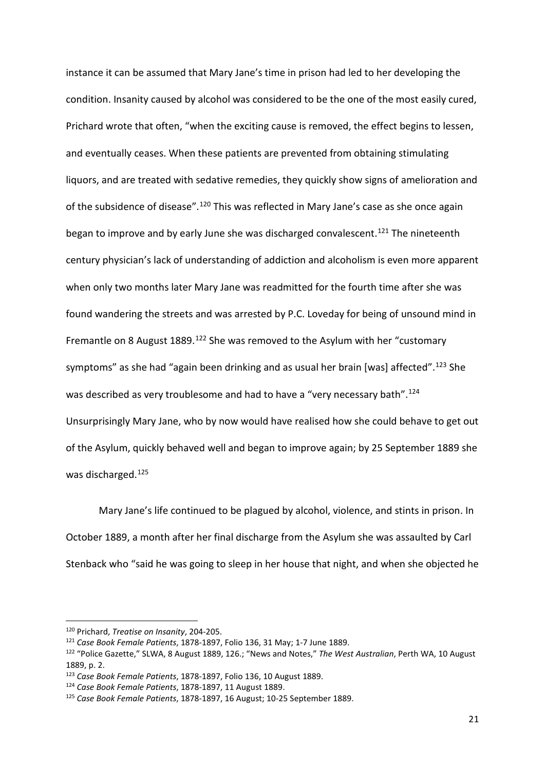instance it can be assumed that Mary Jane's time in prison had led to her developing the condition. Insanity caused by alcohol was considered to be the one of the most easily cured, Prichard wrote that often, "when the exciting cause is removed, the effect begins to lessen, and eventually ceases. When these patients are prevented from obtaining stimulating liquors, and are treated with sedative remedies, they quickly show signs of amelioration and of the subsidence of disease".<sup>[120](#page-22-0)</sup> This was reflected in Mary Jane's case as she once again began to improve and by early June she was discharged convalescent.<sup>[121](#page-22-1)</sup> The nineteenth century physician's lack of understanding of addiction and alcoholism is even more apparent when only two months later Mary Jane was readmitted for the fourth time after she was found wandering the streets and was arrested by P.C. Loveday for being of unsound mind in Fremantle on 8 August 1889.<sup>[122](#page-22-2)</sup> She was removed to the Asylum with her "customary symptoms" as she had "again been drinking and as usual her brain [was] affected".<sup>[123](#page-22-3)</sup> She was described as very troublesome and had to have a "very necessary bath".<sup>[124](#page-22-4)</sup> Unsurprisingly Mary Jane, who by now would have realised how she could behave to get out of the Asylum, quickly behaved well and began to improve again; by 25 September 1889 she was discharged.[125](#page-22-5)

Mary Jane's life continued to be plagued by alcohol, violence, and stints in prison. In October 1889, a month after her final discharge from the Asylum she was assaulted by Carl Stenback who "said he was going to sleep in her house that night, and when she objected he

<span id="page-22-0"></span><sup>120</sup> Prichard, *Treatise on Insanity*, 204-205.

<span id="page-22-1"></span><sup>121</sup> *Case Book Female Patients*, 1878-1897, Folio 136, 31 May; 1-7 June 1889.

<span id="page-22-2"></span><sup>122</sup> "Police Gazette," SLWA, 8 August 1889, 126.; "News and Notes," *The West Australian*, Perth WA, 10 August 1889, p. 2.

<span id="page-22-3"></span><sup>123</sup> *Case Book Female Patients*, 1878-1897, Folio 136, 10 August 1889. 124 *Case Book Female Patients*, 1878-1897, 11 August 1889.

<span id="page-22-5"></span><span id="page-22-4"></span><sup>125</sup> *Case Book Female Patients*, 1878-1897, 16 August; 10-25 September 1889.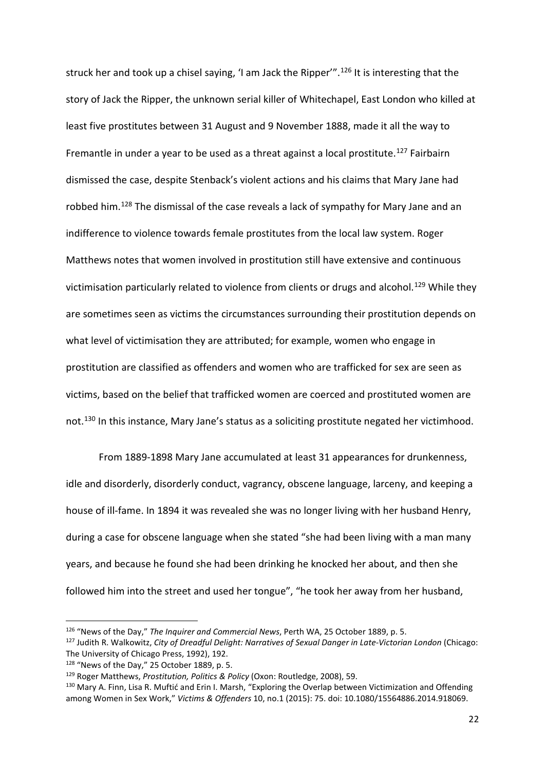struck her and took up a chisel saying, 'I am Jack the Ripper'". [126](#page-23-0) It is interesting that the story of Jack the Ripper, the unknown serial killer of Whitechapel, East London who killed at least five prostitutes between 31 August and 9 November 1888, made it all the way to Fremantle in under a year to be used as a threat against a local prostitute.<sup>[127](#page-23-1)</sup> Fairbairn dismissed the case, despite Stenback's violent actions and his claims that Mary Jane had robbed him.[128](#page-23-2) The dismissal of the case reveals a lack of sympathy for Mary Jane and an indifference to violence towards female prostitutes from the local law system. Roger Matthews notes that women involved in prostitution still have extensive and continuous victimisation particularly related to violence from clients or drugs and alcohol.<sup>[129](#page-23-3)</sup> While they are sometimes seen as victims the circumstances surrounding their prostitution depends on what level of victimisation they are attributed; for example, women who engage in prostitution are classified as offenders and women who are trafficked for sex are seen as victims, based on the belief that trafficked women are coerced and prostituted women are not.<sup>[130](#page-23-4)</sup> In this instance, Mary Jane's status as a soliciting prostitute negated her victimhood.

From 1889-1898 Mary Jane accumulated at least 31 appearances for drunkenness, idle and disorderly, disorderly conduct, vagrancy, obscene language, larceny, and keeping a house of ill-fame. In 1894 it was revealed she was no longer living with her husband Henry, during a case for obscene language when she stated "she had been living with a man many years, and because he found she had been drinking he knocked her about, and then she followed him into the street and used her tongue", "he took her away from her husband,

<span id="page-23-0"></span><sup>126</sup> "News of the Day," *The Inquirer and Commercial News*, Perth WA, 25 October 1889, p. 5.

<span id="page-23-1"></span><sup>127</sup> Judith R. Walkowitz, *City of Dreadful Delight: Narratives of Sexual Danger in Late-Victorian London* (Chicago: The University of Chicago Press, 1992), 192.

<span id="page-23-2"></span><sup>128 &</sup>quot;News of the Day," 25 October 1889, p. 5.

<span id="page-23-3"></span><sup>129</sup> Roger Matthews, *Prostitution, Politics & Policy* (Oxon: Routledge, 2008), 59.

<span id="page-23-4"></span><sup>&</sup>lt;sup>130</sup> Mary A. Finn, Lisa R. Muftić and Erin I. Marsh, "Exploring the Overlap between Victimization and Offending among Women in Sex Work," *Victims & Offenders* 10, no.1 (2015): 75. doi: 10.1080/15564886.2014.918069.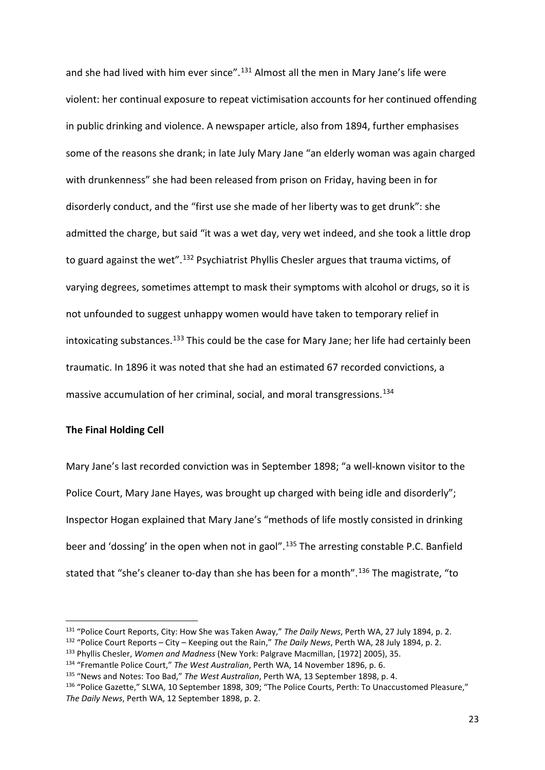and she had lived with him ever since".<sup>[131](#page-24-0)</sup> Almost all the men in Mary Jane's life were violent: her continual exposure to repeat victimisation accounts for her continued offending in public drinking and violence. A newspaper article, also from 1894, further emphasises some of the reasons she drank; in late July Mary Jane "an elderly woman was again charged with drunkenness" she had been released from prison on Friday, having been in for disorderly conduct, and the "first use she made of her liberty was to get drunk": she admitted the charge, but said "it was a wet day, very wet indeed, and she took a little drop to guard against the wet".<sup>[132](#page-24-1)</sup> Psychiatrist Phyllis Chesler argues that trauma victims, of varying degrees, sometimes attempt to mask their symptoms with alcohol or drugs, so it is not unfounded to suggest unhappy women would have taken to temporary relief in intoxicating substances.<sup>[133](#page-24-2)</sup> This could be the case for Mary Jane; her life had certainly been traumatic. In 1896 it was noted that she had an estimated 67 recorded convictions, a massive accumulation of her criminal, social, and moral transgressions. [134](#page-24-3)

#### **The Final Holding Cell**

**.** 

Mary Jane's last recorded conviction was in September 1898; "a well-known visitor to the Police Court, Mary Jane Hayes, was brought up charged with being idle and disorderly"; Inspector Hogan explained that Mary Jane's "methods of life mostly consisted in drinking beer and 'dossing' in the open when not in gaol".<sup>[135](#page-24-4)</sup> The arresting constable P.C. Banfield stated that "she's cleaner to-day than she has been for a month".<sup>[136](#page-24-5)</sup> The magistrate, "to

<span id="page-24-1"></span><sup>132</sup> "Police Court Reports – City – Keeping out the Rain," *The Daily News*, Perth WA, 28 July 1894, p. 2.

<span id="page-24-0"></span><sup>131</sup> "Police Court Reports, City: How She was Taken Away," *The Daily News*, Perth WA, 27 July 1894, p. 2.

<span id="page-24-2"></span><sup>&</sup>lt;sup>133</sup> Phyllis Chesler, *Women and Madness* (New York: Palgrave Macmillan, [1972] 2005), 35.<br><sup>134</sup> "Fremantle Police Court," *The West Australian*, Perth WA, 14 November 1896, p. 6.

<span id="page-24-3"></span>

<span id="page-24-4"></span><sup>135</sup> "News and Notes: Too Bad," *The West Australian*, Perth WA, 13 September 1898, p. 4.

<span id="page-24-5"></span><sup>136 &</sup>quot;Police Gazette," SLWA, 10 September 1898, 309; "The Police Courts, Perth: To Unaccustomed Pleasure," *The Daily News*, Perth WA, 12 September 1898, p. 2.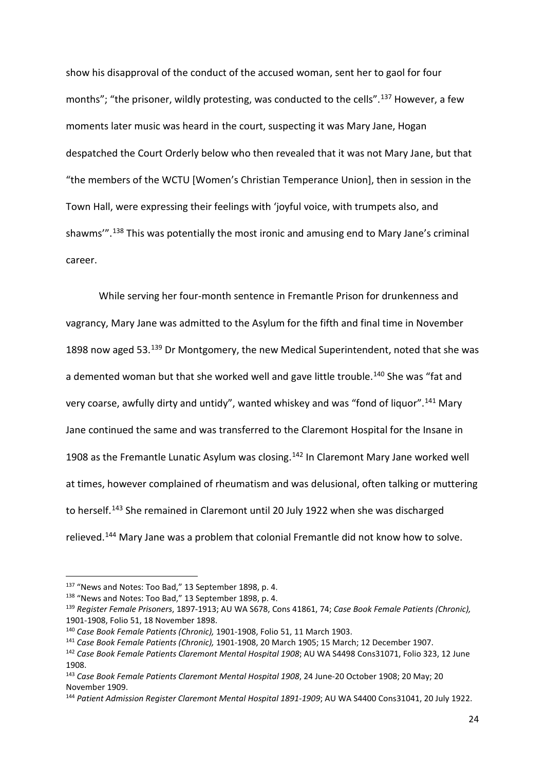show his disapproval of the conduct of the accused woman, sent her to gaol for four months"; "the prisoner, wildly protesting, was conducted to the cells".<sup>[137](#page-25-0)</sup> However, a few moments later music was heard in the court, suspecting it was Mary Jane, Hogan despatched the Court Orderly below who then revealed that it was not Mary Jane, but that "the members of the WCTU [Women's Christian Temperance Union], then in session in the Town Hall, were expressing their feelings with 'joyful voice, with trumpets also, and shawms'". [138](#page-25-1) This was potentially the most ironic and amusing end to Mary Jane's criminal career.

While serving her four-month sentence in Fremantle Prison for drunkenness and vagrancy, Mary Jane was admitted to the Asylum for the fifth and final time in November 1898 now aged 53.<sup>[139](#page-25-2)</sup> Dr Montgomery, the new Medical Superintendent, noted that she was a demented woman but that she worked well and gave little trouble.<sup>[140](#page-25-3)</sup> She was "fat and very coarse, awfully dirty and untidy", wanted whiskey and was "fond of liquor".<sup>[141](#page-25-4)</sup> Mary Jane continued the same and was transferred to the Claremont Hospital for the Insane in 1908 as the Fremantle Lunatic Asylum was closing.<sup>[142](#page-25-5)</sup> In Claremont Mary Jane worked well at times, however complained of rheumatism and was delusional, often talking or muttering to herself.<sup>[143](#page-25-6)</sup> She remained in Claremont until 20 July 1922 when she was discharged relieved.[144](#page-25-7) Mary Jane was a problem that colonial Fremantle did not know how to solve.

 $\overline{\phantom{a}}$ 

<span id="page-25-0"></span><sup>137</sup> "News and Notes: Too Bad," 13 September 1898, p. 4.

<span id="page-25-1"></span><sup>138</sup> "News and Notes: Too Bad," 13 September 1898, p. 4.

<span id="page-25-2"></span><sup>139</sup> *Register Female Prisoners*, 1897-1913; AU WA S678, Cons 41861, 74; *Case Book Female Patients (Chronic),* 1901-1908, Folio 51, 18 November 1898.

<span id="page-25-3"></span><sup>140</sup> *Case Book Female Patients (Chronic),* 1901-1908, Folio 51, 11 March 1903.

<span id="page-25-4"></span><sup>141</sup> *Case Book Female Patients (Chronic),* 1901-1908, 20 March 1905; 15 March; 12 December 1907.

<span id="page-25-5"></span><sup>142</sup> *Case Book Female Patients Claremont Mental Hospital 1908*; AU WA S4498 Cons31071, Folio 323, 12 June 1908.

<span id="page-25-6"></span><sup>143</sup> *Case Book Female Patients Claremont Mental Hospital 1908*, 24 June-20 October 1908; 20 May; 20 November 1909.

<span id="page-25-7"></span><sup>144</sup> *Patient Admission Register Claremont Mental Hospital 1891-1909*; AU WA S4400 Cons31041, 20 July 1922.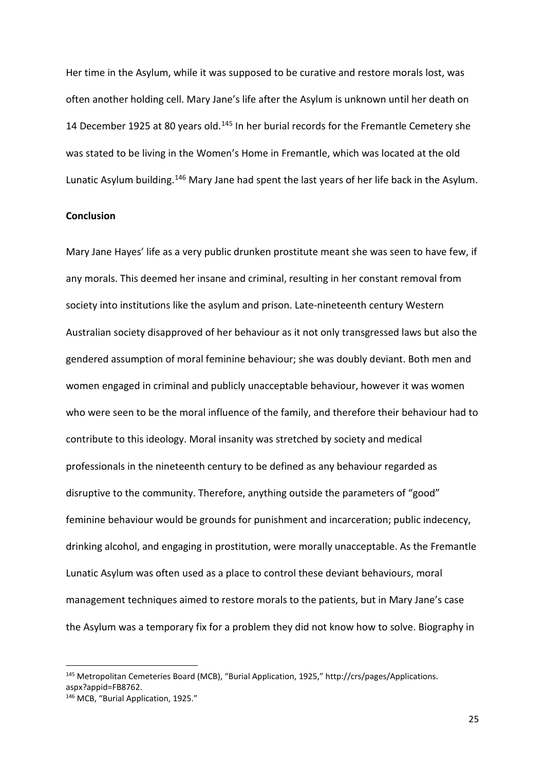Her time in the Asylum, while it was supposed to be curative and restore morals lost, was often another holding cell. Mary Jane's life after the Asylum is unknown until her death on 14 December 1925 at 80 years old.<sup>[145](#page-26-0)</sup> In her burial records for the Fremantle Cemetery she was stated to be living in the Women's Home in Fremantle, which was located at the old Lunatic Asylum building.<sup>[146](#page-26-1)</sup> Mary Jane had spent the last years of her life back in the Asylum.

# **Conclusion**

<u>.</u>

Mary Jane Hayes' life as a very public drunken prostitute meant she was seen to have few, if any morals. This deemed her insane and criminal, resulting in her constant removal from society into institutions like the asylum and prison. Late-nineteenth century Western Australian society disapproved of her behaviour as it not only transgressed laws but also the gendered assumption of moral feminine behaviour; she was doubly deviant. Both men and women engaged in criminal and publicly unacceptable behaviour, however it was women who were seen to be the moral influence of the family, and therefore their behaviour had to contribute to this ideology. Moral insanity was stretched by society and medical professionals in the nineteenth century to be defined as any behaviour regarded as disruptive to the community. Therefore, anything outside the parameters of "good" feminine behaviour would be grounds for punishment and incarceration; public indecency, drinking alcohol, and engaging in prostitution, were morally unacceptable. As the Fremantle Lunatic Asylum was often used as a place to control these deviant behaviours, moral management techniques aimed to restore morals to the patients, but in Mary Jane's case the Asylum was a temporary fix for a problem they did not know how to solve. Biography in

<span id="page-26-1"></span><span id="page-26-0"></span><sup>145</sup> Metropolitan Cemeteries Board (MCB), "Burial Application, 1925," http://crs/pages/Applications. aspx?appid=FB8762. <sup>146</sup> MCB. "Burial Application, 1925."